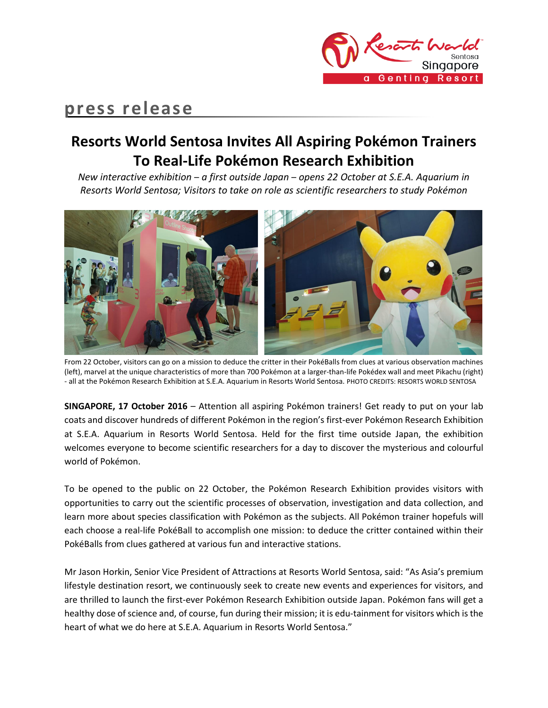

# **press release**

## **Resorts World Sentosa Invites All Aspiring Pokémon Trainers To Real-Life Pokémon Research Exhibition**

*New interactive exhibition* – *a first outside Japan* – *opens 22 October at S.E.A. Aquarium in Resorts World Sentosa; Visitors to take on role as scientific researchers to study Pokémon*



From 22 October, visitors can go on a mission to deduce the critter in their PokéBalls from clues at various observation machines (left), marvel at the unique characteristics of more than 700 Pokémon at a larger-than-life Pokédex wall and meet Pikachu (right) - all at the Pokémon Research Exhibition at S.E.A. Aquarium in Resorts World Sentosa. PHOTO CREDITS: RESORTS WORLD SENTOSA

**SINGAPORE, 17 October 2016** – Attention all aspiring Pokémon trainers! Get ready to put on your lab coats and discover hundreds of different Pokémon in the region's first-ever Pokémon Research Exhibition at S.E.A. Aquarium in Resorts World Sentosa. Held for the first time outside Japan, the exhibition welcomes everyone to become scientific researchers for a day to discover the mysterious and colourful world of Pokémon.

To be opened to the public on 22 October, the Pokémon Research Exhibition provides visitors with opportunities to carry out the scientific processes of observation, investigation and data collection, and learn more about species classification with Pokémon as the subjects. All Pokémon trainer hopefuls will each choose a real-life PokéBall to accomplish one mission: to deduce the critter contained within their PokéBalls from clues gathered at various fun and interactive stations.

Mr Jason Horkin, Senior Vice President of Attractions at Resorts World Sentosa, said: "As Asia's premium lifestyle destination resort, we continuously seek to create new events and experiences for visitors, and are thrilled to launch the first-ever Pokémon Research Exhibition outside Japan. Pokémon fans will get a healthy dose of science and, of course, fun during their mission; it is edu-tainment for visitors which is the heart of what we do here at S.E.A. Aquarium in Resorts World Sentosa."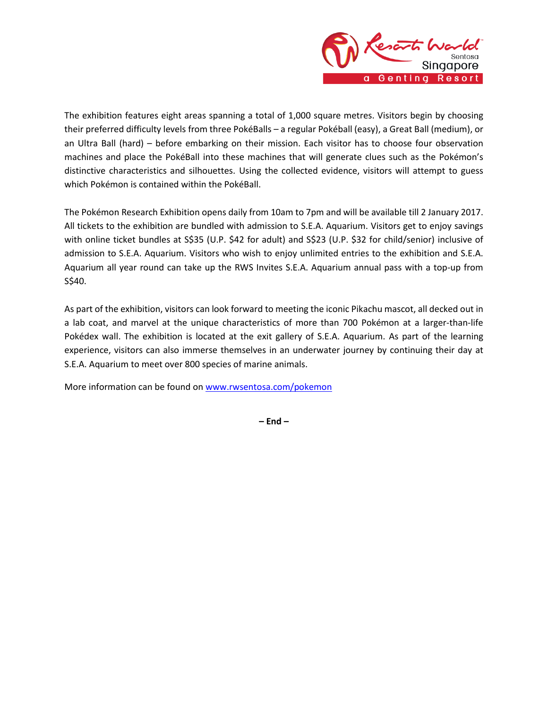

The exhibition features eight areas spanning a total of 1,000 square metres. Visitors begin by choosing their preferred difficulty levels from three PokéBalls – a regular Pokéball (easy), a Great Ball (medium), or an Ultra Ball (hard) – before embarking on their mission. Each visitor has to choose four observation machines and place the PokéBall into these machines that will generate clues such as the Pokémon's distinctive characteristics and silhouettes. Using the collected evidence, visitors will attempt to guess which Pokémon is contained within the PokéBall.

The Pokémon Research Exhibition opens daily from 10am to 7pm and will be available till 2 January 2017. All tickets to the exhibition are bundled with admission to S.E.A. Aquarium. Visitors get to enjoy savings with online ticket bundles at S\$35 (U.P. \$42 for adult) and S\$23 (U.P. \$32 for child/senior) inclusive of admission to S.E.A. Aquarium. Visitors who wish to enjoy unlimited entries to the exhibition and S.E.A. Aquarium all year round can take up the RWS Invites S.E.A. Aquarium annual pass with a top-up from S\$40.

As part of the exhibition, visitors can look forward to meeting the iconic Pikachu mascot, all decked out in a lab coat, and marvel at the unique characteristics of more than 700 Pokémon at a larger-than-life Pokédex wall. The exhibition is located at the exit gallery of S.E.A. Aquarium. As part of the learning experience, visitors can also immerse themselves in an underwater journey by continuing their day at S.E.A. Aquarium to meet over 800 species of marine animals.

More information can be found o[n www.rwsentosa.com/pokemon](http://www.rwsentosa.com/pokemon)

**– End –**